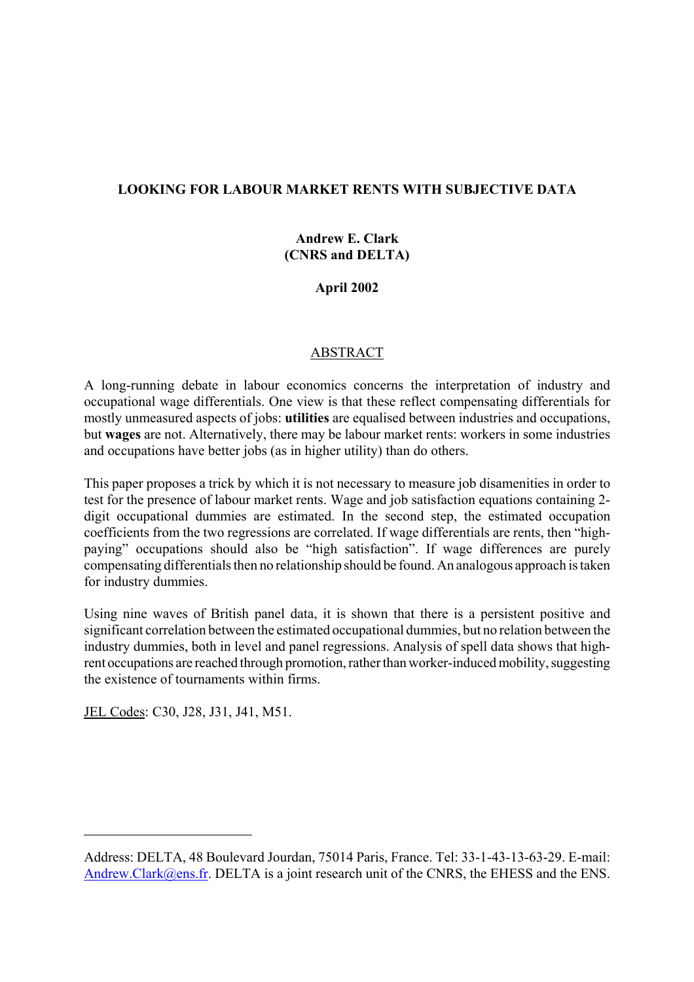## **LOOKING FOR LABOUR MARKET RENTS WITH SUBJECTIVE DATA**

# **Andrew E. Clark (CNRS and DELTA)**

### **April 2002**

### ABSTRACT

A long-running debate in labour economics concerns the interpretation of industry and occupational wage differentials. One view is that these reflect compensating differentials for mostly unmeasured aspects of jobs: **utilities** are equalised between industries and occupations, but **wages** are not. Alternatively, there may be labour market rents: workers in some industries and occupations have better jobs (as in higher utility) than do others.

This paper proposes a trick by which it is not necessary to measure job disamenities in order to test for the presence of labour market rents. Wage and job satisfaction equations containing 2 digit occupational dummies are estimated. In the second step, the estimated occupation coefficients from the two regressions are correlated. If wage differentials are rents, then "highpaying" occupations should also be "high satisfaction". If wage differences are purely compensating differentials then no relationship should be found. An analogous approach is taken for industry dummies.

Using nine waves of British panel data, it is shown that there is a persistent positive and significant correlation between the estimated occupational dummies, but no relation between the industry dummies, both in level and panel regressions. Analysis of spell data shows that highrent occupations are reached through promotion, rather than worker-induced mobility, suggesting the existence of tournaments within firms.

JEL Codes: C30, J28, J31, J41, M51.

Address: DELTA, 48 Boulevard Jourdan, 75014 Paris, France. Tel: 33-1-43-13-63-29. E-mail: Andrew.Clark@ens.fr. DELTA is a joint research unit of the CNRS, the EHESS and the ENS.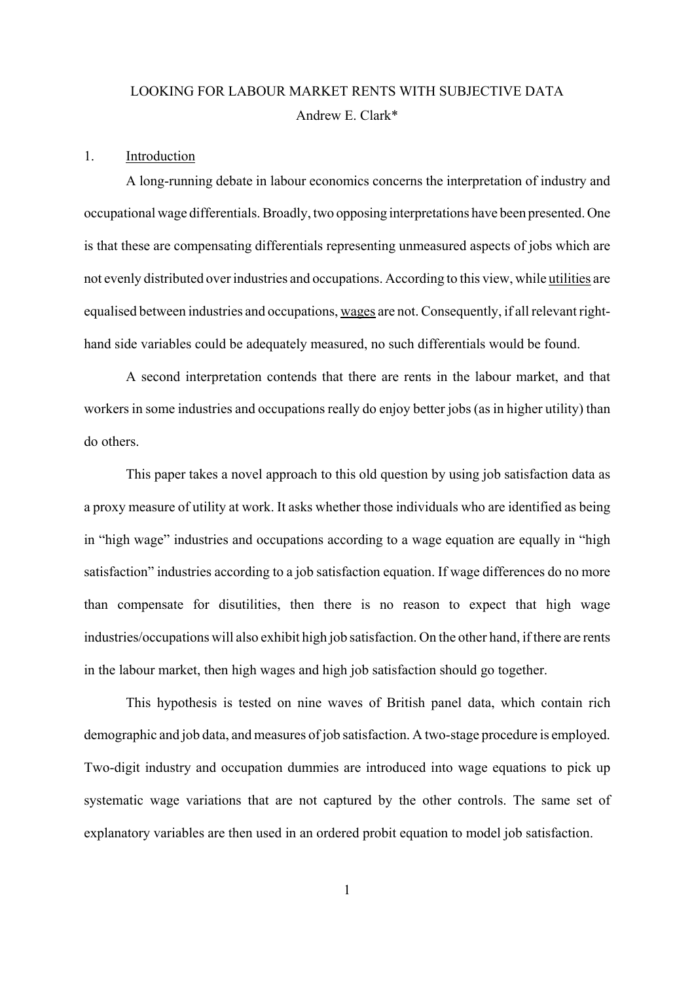# LOOKING FOR LABOUR MARKET RENTS WITH SUBJECTIVE DATA Andrew E. Clark\*

#### 1. Introduction

A long-running debate in labour economics concerns the interpretation of industry and occupational wage differentials. Broadly, two opposing interpretations have been presented. One is that these are compensating differentials representing unmeasured aspects of jobs which are not evenly distributed over industries and occupations. According to this view, while utilities are equalised between industries and occupations, wages are not. Consequently, if all relevant righthand side variables could be adequately measured, no such differentials would be found.

A second interpretation contends that there are rents in the labour market, and that workers in some industries and occupations really do enjoy better jobs (as in higher utility) than do others.

This paper takes a novel approach to this old question by using job satisfaction data as a proxy measure of utility at work. It asks whether those individuals who are identified as being in "high wage" industries and occupations according to a wage equation are equally in "high satisfaction" industries according to a job satisfaction equation. If wage differences do no more than compensate for disutilities, then there is no reason to expect that high wage industries/occupations will also exhibit high job satisfaction. On the other hand, if there are rents in the labour market, then high wages and high job satisfaction should go together.

This hypothesis is tested on nine waves of British panel data, which contain rich demographic and job data, and measures of job satisfaction. A two-stage procedure is employed. Two-digit industry and occupation dummies are introduced into wage equations to pick up systematic wage variations that are not captured by the other controls. The same set of explanatory variables are then used in an ordered probit equation to model job satisfaction.

1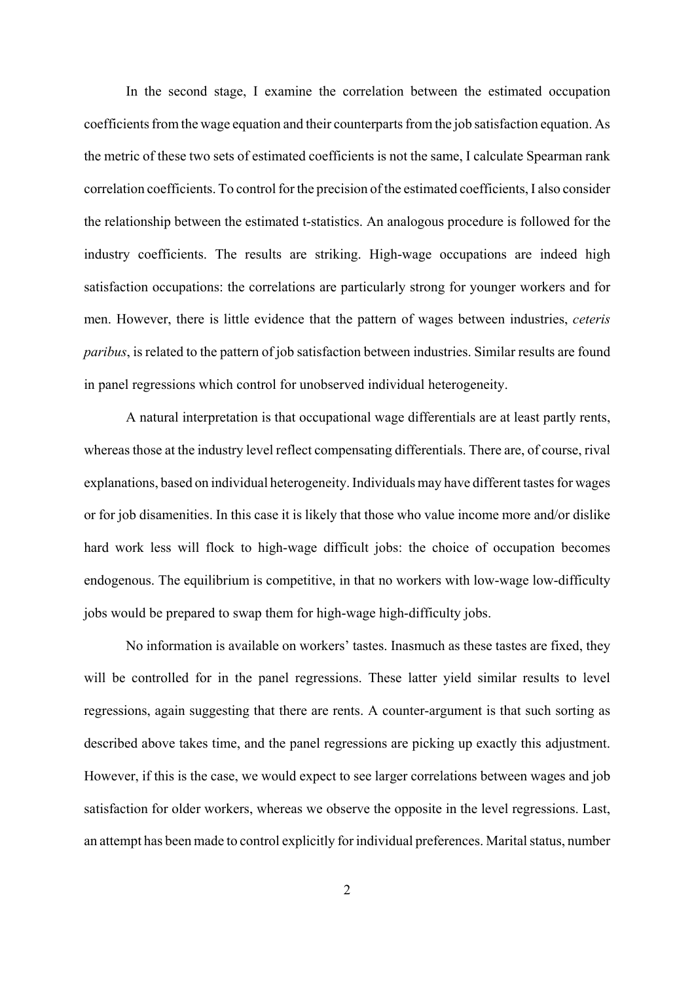In the second stage, I examine the correlation between the estimated occupation coefficients from the wage equation and their counterparts from the job satisfaction equation. As the metric of these two sets of estimated coefficients is not the same, I calculate Spearman rank correlation coefficients. To control for the precision of the estimated coefficients, I also consider the relationship between the estimated t-statistics. An analogous procedure is followed for the industry coefficients. The results are striking. High-wage occupations are indeed high satisfaction occupations: the correlations are particularly strong for younger workers and for men. However, there is little evidence that the pattern of wages between industries, *ceteris paribus*, is related to the pattern of job satisfaction between industries. Similar results are found in panel regressions which control for unobserved individual heterogeneity.

A natural interpretation is that occupational wage differentials are at least partly rents, whereas those at the industry level reflect compensating differentials. There are, of course, rival explanations, based on individual heterogeneity. Individuals may have different tastes for wages or for job disamenities. In this case it is likely that those who value income more and/or dislike hard work less will flock to high-wage difficult jobs: the choice of occupation becomes endogenous. The equilibrium is competitive, in that no workers with low-wage low-difficulty jobs would be prepared to swap them for high-wage high-difficulty jobs.

No information is available on workers' tastes. Inasmuch as these tastes are fixed, they will be controlled for in the panel regressions. These latter yield similar results to level regressions, again suggesting that there are rents. A counter-argument is that such sorting as described above takes time, and the panel regressions are picking up exactly this adjustment. However, if this is the case, we would expect to see larger correlations between wages and job satisfaction for older workers, whereas we observe the opposite in the level regressions. Last, an attempt has been made to control explicitly for individual preferences. Marital status, number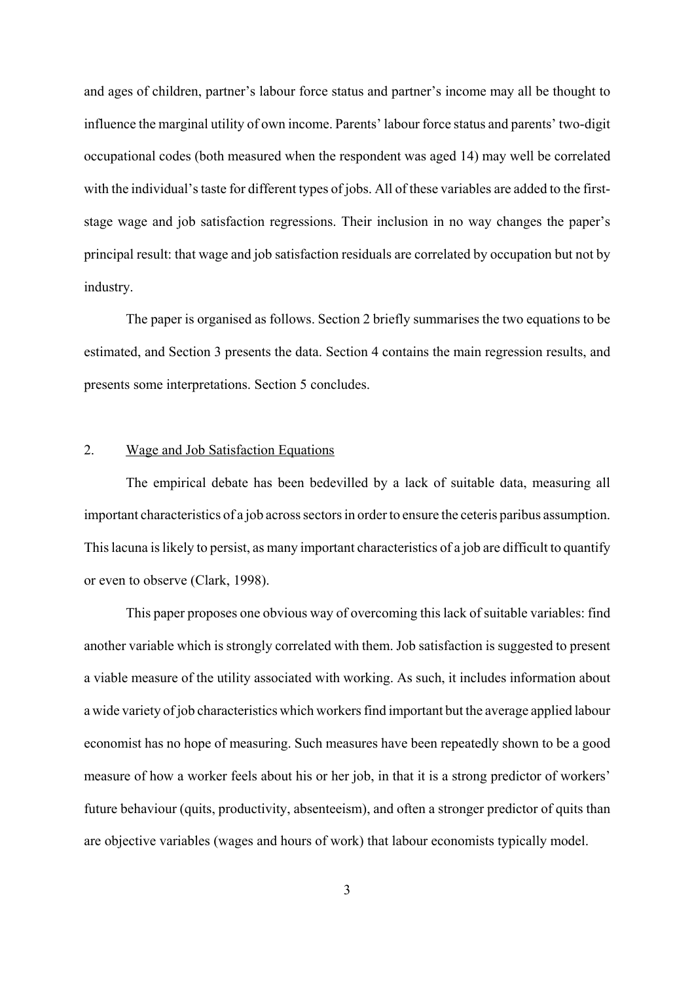and ages of children, partner's labour force status and partner's income may all be thought to influence the marginal utility of own income. Parents' labour force status and parents' two-digit occupational codes (both measured when the respondent was aged 14) may well be correlated with the individual's taste for different types of jobs. All of these variables are added to the firststage wage and job satisfaction regressions. Their inclusion in no way changes the paper's principal result: that wage and job satisfaction residuals are correlated by occupation but not by industry.

The paper is organised as follows. Section 2 briefly summarises the two equations to be estimated, and Section 3 presents the data. Section 4 contains the main regression results, and presents some interpretations. Section 5 concludes.

#### 2. Wage and Job Satisfaction Equations

The empirical debate has been bedevilled by a lack of suitable data, measuring all important characteristics of a job across sectors in order to ensure the ceteris paribus assumption. This lacuna is likely to persist, as many important characteristics of a job are difficult to quantify or even to observe (Clark, 1998).

This paper proposes one obvious way of overcoming this lack of suitable variables: find another variable which is strongly correlated with them. Job satisfaction is suggested to present a viable measure of the utility associated with working. As such, it includes information about a wide variety of job characteristics which workers find important but the average applied labour economist has no hope of measuring. Such measures have been repeatedly shown to be a good measure of how a worker feels about his or her job, in that it is a strong predictor of workers' future behaviour (quits, productivity, absenteeism), and often a stronger predictor of quits than are objective variables (wages and hours of work) that labour economists typically model.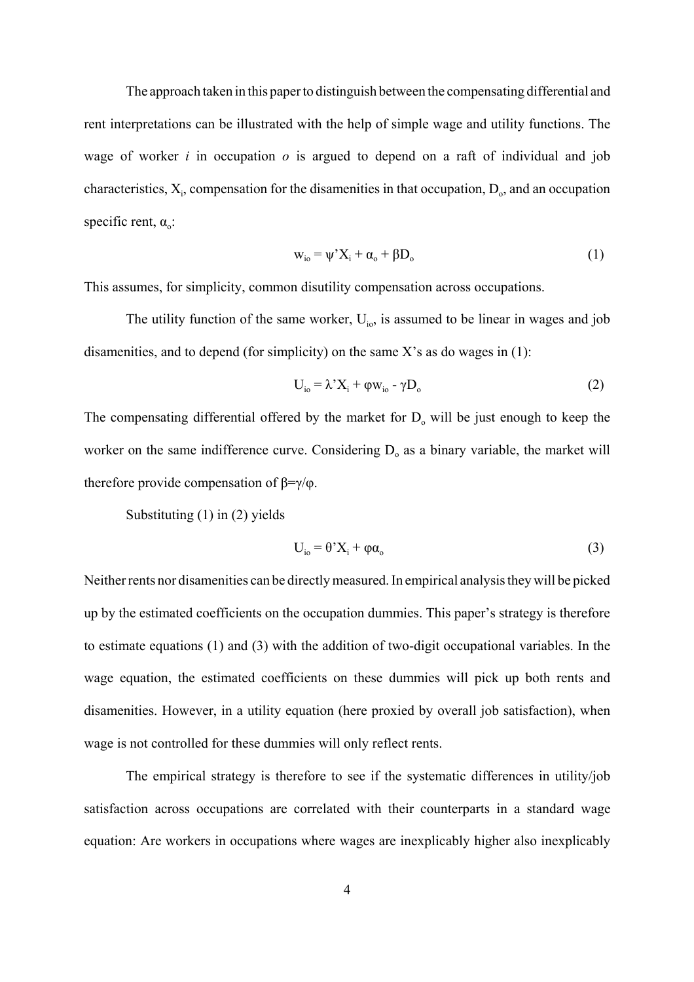The approach taken in this paper to distinguish between the compensating differential and rent interpretations can be illustrated with the help of simple wage and utility functions. The wage of worker *i* in occupation *o* is argued to depend on a raft of individual and job characteristics,  $X_i$ , compensation for the disamenities in that occupation,  $D_0$ , and an occupation specific rent,  $\alpha_0$ :

$$
w_{io} = \psi^{\prime} X_i + \alpha_o + \beta D_o \tag{1}
$$

This assumes, for simplicity, common disutility compensation across occupations.

The utility function of the same worker,  $U_{i\alpha}$ , is assumed to be linear in wages and job disamenities, and to depend (for simplicity) on the same  $X$ 's as do wages in (1):

$$
U_{io} = \lambda' X_i + \varphi w_{io} - \gamma D_o \tag{2}
$$

The compensating differential offered by the market for  $D_0$  will be just enough to keep the worker on the same indifference curve. Considering  $D<sub>o</sub>$  as a binary variable, the market will therefore provide compensation of  $β = γ/φ$ .

Substituting (1) in (2) yields

$$
U_{i0} = \theta^* X_i + \varphi \alpha_0 \tag{3}
$$

Neither rents nor disamenities can be directly measured. In empirical analysis they will be picked up by the estimated coefficients on the occupation dummies. This paper's strategy is therefore to estimate equations (1) and (3) with the addition of two-digit occupational variables. In the wage equation, the estimated coefficients on these dummies will pick up both rents and disamenities. However, in a utility equation (here proxied by overall job satisfaction), when wage is not controlled for these dummies will only reflect rents.

The empirical strategy is therefore to see if the systematic differences in utility/job satisfaction across occupations are correlated with their counterparts in a standard wage equation: Are workers in occupations where wages are inexplicably higher also inexplicably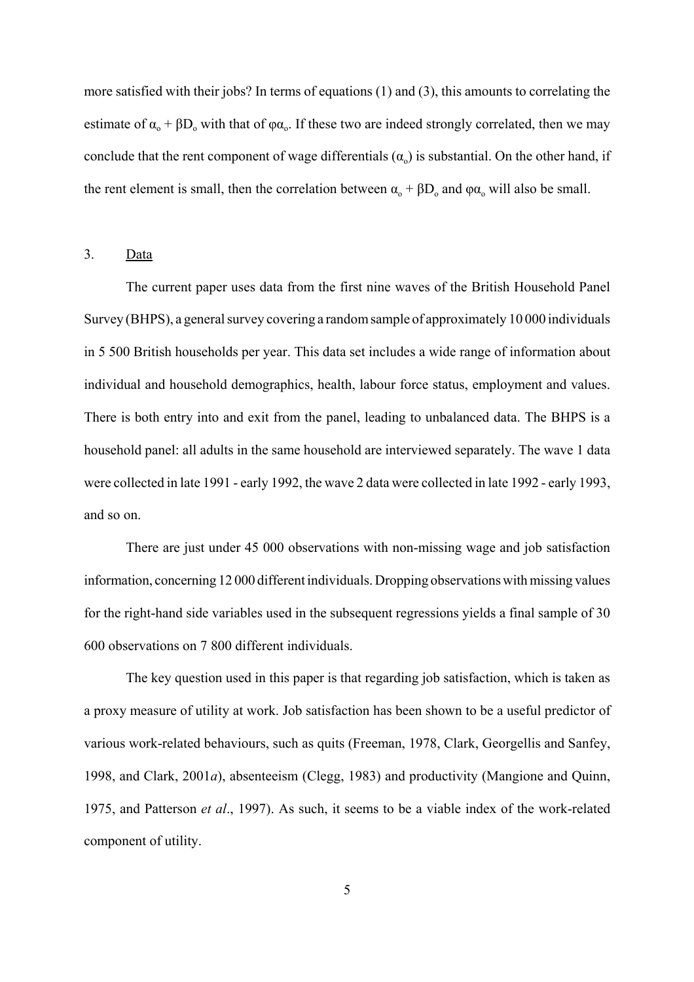more satisfied with their jobs? In terms of equations (1) and (3), this amounts to correlating the estimate of  $\alpha_0$  +  $\beta D_0$  with that of  $\varphi \alpha_0$ . If these two are indeed strongly correlated, then we may conclude that the rent component of wage differentials  $(\alpha_0)$  is substantial. On the other hand, if the rent element is small, then the correlation between  $\alpha_0 + \beta D_0$  and  $\varphi \alpha_0$  will also be small.

3. Data

The current paper uses data from the first nine waves of the British Household Panel Survey (BHPS), a general survey covering a random sample of approximately 10 000 individuals in 5 500 British households per year. This data set includes a wide range of information about individual and household demographics, health, labour force status, employment and values. There is both entry into and exit from the panel, leading to unbalanced data. The BHPS is a household panel: all adults in the same household are interviewed separately. The wave 1 data were collected in late 1991 - early 1992, the wave 2 data were collected in late 1992 - early 1993, and so on.

There are just under 45 000 observations with non-missing wage and job satisfaction information, concerning 12 000 different individuals. Dropping observations with missing values for the right-hand side variables used in the subsequent regressions yields a final sample of 30 600 observations on 7 800 different individuals.

The key question used in this paper is that regarding job satisfaction, which is taken as a proxy measure of utility at work. Job satisfaction has been shown to be a useful predictor of various work-related behaviours, such as quits (Freeman, 1978, Clark, Georgellis and Sanfey, 1998, and Clark, 2001*a*), absenteeism (Clegg, 1983) and productivity (Mangione and Quinn, 1975, and Patterson *et al*., 1997). As such, it seems to be a viable index of the work-related component of utility.

5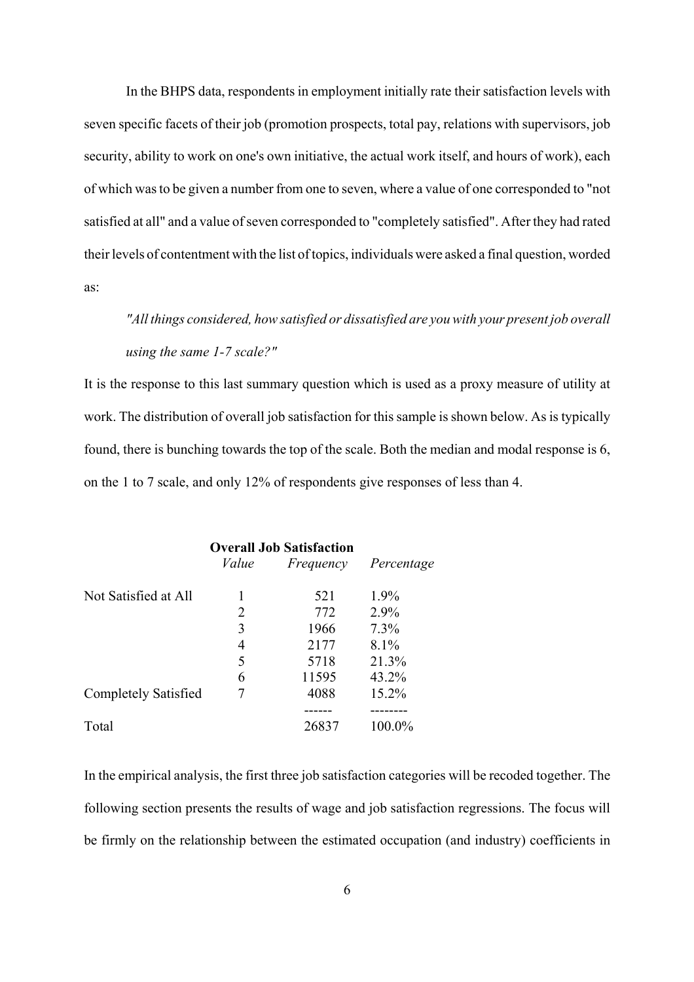In the BHPS data, respondents in employment initially rate their satisfaction levels with seven specific facets of their job (promotion prospects, total pay, relations with supervisors, job security, ability to work on one's own initiative, the actual work itself, and hours of work), each of which was to be given a number from one to seven, where a value of one corresponded to "not satisfied at all" and a value of seven corresponded to "completely satisfied". After they had rated their levels of contentment with the list of topics, individuals were asked a final question, worded as:

*"All things considered, how satisfied or dissatisfied are you with your present job overall using the same 1-7 scale?"*

It is the response to this last summary question which is used as a proxy measure of utility at work. The distribution of overall job satisfaction for this sample is shown below. As is typically found, there is bunching towards the top of the scale. Both the median and modal response is 6, on the 1 to 7 scale, and only 12% of respondents give responses of less than 4.

|                             | <b>Overall Job Satisfaction</b> |           |            |
|-----------------------------|---------------------------------|-----------|------------|
|                             | Value                           | Frequency | Percentage |
| Not Satisfied at All        |                                 | 521       | $1.9\%$    |
|                             | 2                               | 772       | 2.9%       |
|                             | 3                               | 1966      | 7.3%       |
|                             | 4                               | 2177      | 8.1%       |
|                             | 5                               | 5718      | 21.3%      |
|                             | 6                               | 11595     | 43.2%      |
| <b>Completely Satisfied</b> |                                 | 4088      | 15.2%      |
|                             |                                 |           |            |
| Total                       |                                 | 26837     | 100.0%     |

In the empirical analysis, the first three job satisfaction categories will be recoded together. The following section presents the results of wage and job satisfaction regressions. The focus will be firmly on the relationship between the estimated occupation (and industry) coefficients in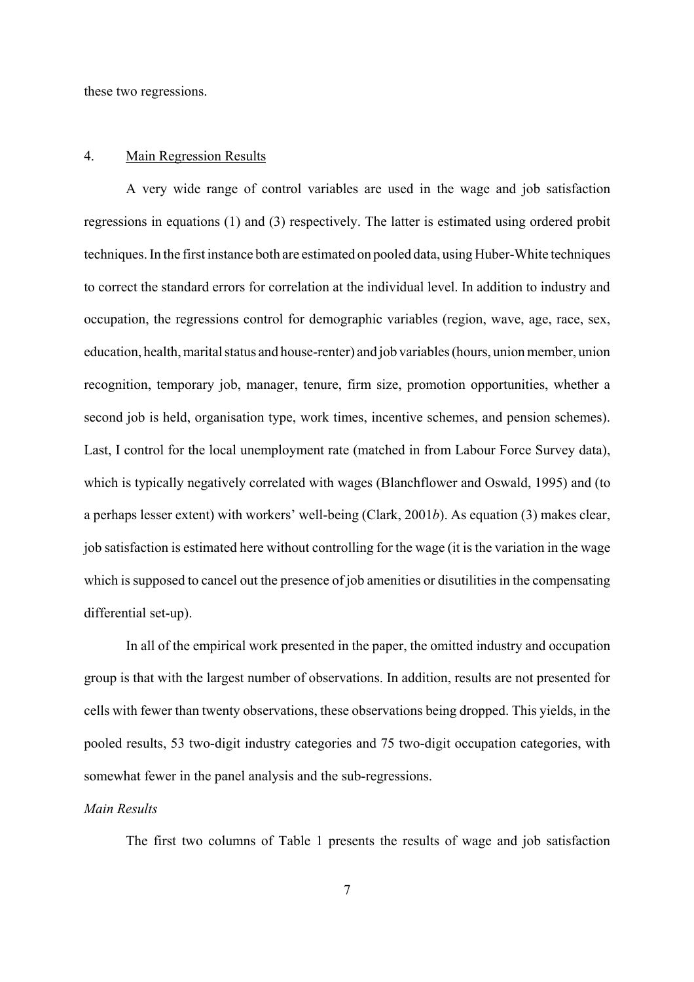these two regressions.

#### 4. Main Regression Results

A very wide range of control variables are used in the wage and job satisfaction regressions in equations (1) and (3) respectively. The latter is estimated using ordered probit techniques. In the first instance both are estimated on pooled data, using Huber-White techniques to correct the standard errors for correlation at the individual level. In addition to industry and occupation, the regressions control for demographic variables (region, wave, age, race, sex, education, health, marital status and house-renter) and job variables (hours, union member, union recognition, temporary job, manager, tenure, firm size, promotion opportunities, whether a second job is held, organisation type, work times, incentive schemes, and pension schemes). Last, I control for the local unemployment rate (matched in from Labour Force Survey data), which is typically negatively correlated with wages (Blanchflower and Oswald, 1995) and (to a perhaps lesser extent) with workers' well-being (Clark, 2001*b*). As equation (3) makes clear, job satisfaction is estimated here without controlling for the wage (it is the variation in the wage which is supposed to cancel out the presence of job amenities or disutilities in the compensating differential set-up).

In all of the empirical work presented in the paper, the omitted industry and occupation group is that with the largest number of observations. In addition, results are not presented for cells with fewer than twenty observations, these observations being dropped. This yields, in the pooled results, 53 two-digit industry categories and 75 two-digit occupation categories, with somewhat fewer in the panel analysis and the sub-regressions.

#### *Main Results*

The first two columns of Table 1 presents the results of wage and job satisfaction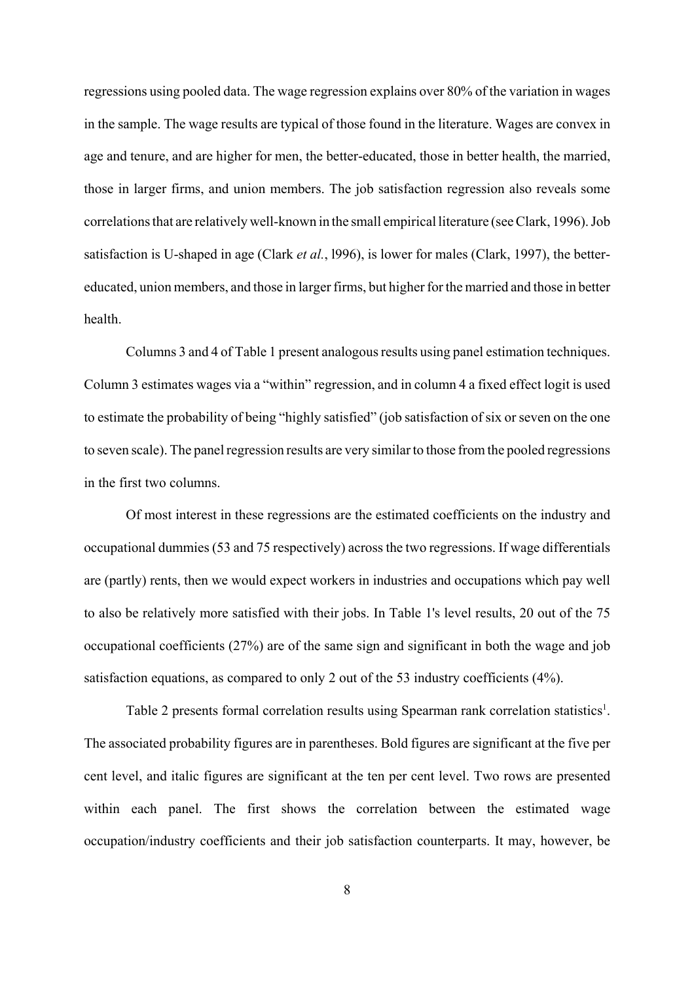regressions using pooled data. The wage regression explains over 80% of the variation in wages in the sample. The wage results are typical of those found in the literature. Wages are convex in age and tenure, and are higher for men, the better-educated, those in better health, the married, those in larger firms, and union members. The job satisfaction regression also reveals some correlations that are relatively well-known in the small empirical literature (see Clark, 1996). Job satisfaction is U-shaped in age (Clark *et al.*, l996), is lower for males (Clark, 1997), the bettereducated, union members, and those in larger firms, but higher for the married and those in better health.

Columns 3 and 4 of Table 1 present analogous results using panel estimation techniques. Column 3 estimates wages via a "within" regression, and in column 4 a fixed effect logit is used to estimate the probability of being "highly satisfied" (job satisfaction of six or seven on the one to seven scale). The panel regression results are very similar to those from the pooled regressions in the first two columns.

Of most interest in these regressions are the estimated coefficients on the industry and occupational dummies (53 and 75 respectively) across the two regressions. If wage differentials are (partly) rents, then we would expect workers in industries and occupations which pay well to also be relatively more satisfied with their jobs. In Table 1's level results, 20 out of the 75 occupational coefficients (27%) are of the same sign and significant in both the wage and job satisfaction equations, as compared to only 2 out of the 53 industry coefficients (4%).

Table 2 presents formal correlation results using Spearman rank correlation statistics<sup>1</sup>. The associated probability figures are in parentheses. Bold figures are significant at the five per cent level, and italic figures are significant at the ten per cent level. Two rows are presented within each panel. The first shows the correlation between the estimated wage occupation/industry coefficients and their job satisfaction counterparts. It may, however, be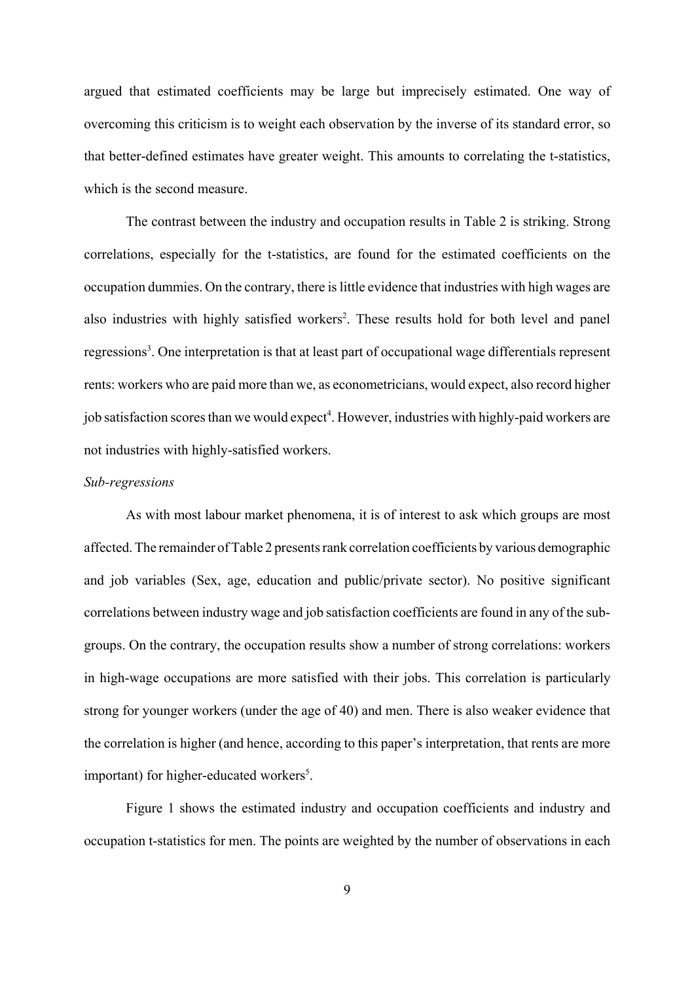argued that estimated coefficients may be large but imprecisely estimated. One way of overcoming this criticism is to weight each observation by the inverse of its standard error, so that better-defined estimates have greater weight. This amounts to correlating the t-statistics, which is the second measure.

The contrast between the industry and occupation results in Table 2 is striking. Strong correlations, especially for the t-statistics, are found for the estimated coefficients on the occupation dummies. On the contrary, there is little evidence that industries with high wages are also industries with highly satisfied workers<sup>2</sup>. These results hold for both level and panel regressions<sup>3</sup>. One interpretation is that at least part of occupational wage differentials represent rents: workers who are paid more than we, as econometricians, would expect, also record higher job satisfaction scores than we would expect<sup>4</sup>. However, industries with highly-paid workers are not industries with highly-satisfied workers.

### *Sub-regressions*

As with most labour market phenomena, it is of interest to ask which groups are most affected. The remainder of Table 2 presents rank correlation coefficients by various demographic and job variables (Sex, age, education and public/private sector). No positive significant correlations between industry wage and job satisfaction coefficients are found in any of the subgroups. On the contrary, the occupation results show a number of strong correlations: workers in high-wage occupations are more satisfied with their jobs. This correlation is particularly strong for younger workers (under the age of 40) and men. There is also weaker evidence that the correlation is higher (and hence, according to this paper's interpretation, that rents are more important) for higher-educated workers<sup>5</sup>.

Figure 1 shows the estimated industry and occupation coefficients and industry and occupation t-statistics for men. The points are weighted by the number of observations in each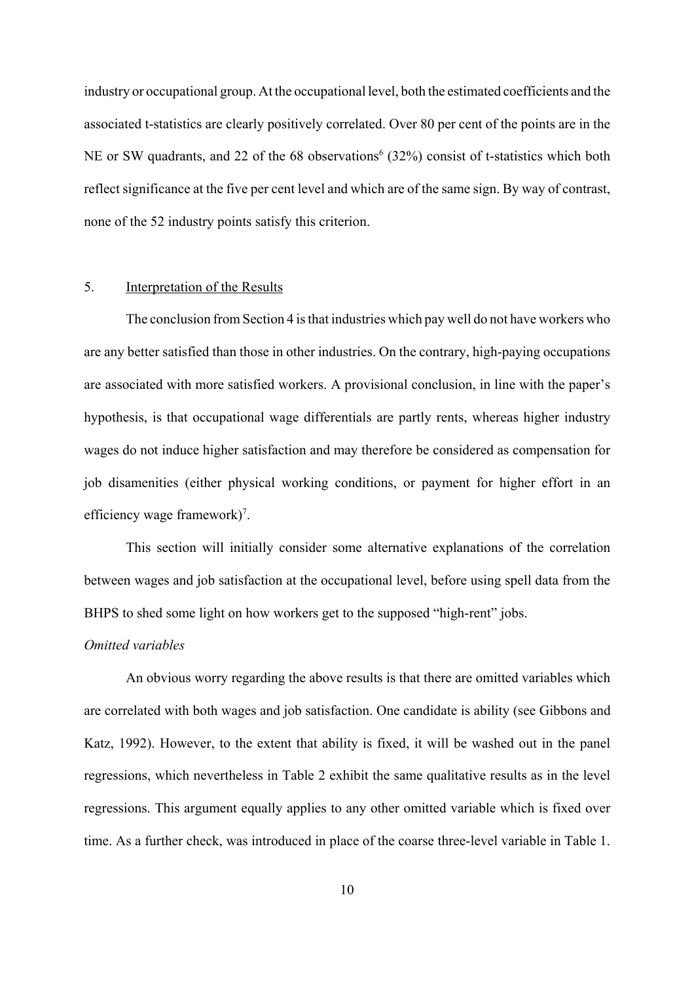industry or occupational group. At the occupational level, both the estimated coefficients and the associated t-statistics are clearly positively correlated. Over 80 per cent of the points are in the NE or SW quadrants, and 22 of the 68 observations<sup>6</sup> (32%) consist of t-statistics which both reflect significance at the five per cent level and which are of the same sign. By way of contrast, none of the 52 industry points satisfy this criterion.

### 5. Interpretation of the Results

The conclusion from Section 4 is that industries which pay well do not have workers who are any better satisfied than those in other industries. On the contrary, high-paying occupations are associated with more satisfied workers. A provisional conclusion, in line with the paper's hypothesis, is that occupational wage differentials are partly rents, whereas higher industry wages do not induce higher satisfaction and may therefore be considered as compensation for job disamenities (either physical working conditions, or payment for higher effort in an efficiency wage framework $)^7$ .

This section will initially consider some alternative explanations of the correlation between wages and job satisfaction at the occupational level, before using spell data from the BHPS to shed some light on how workers get to the supposed "high-rent" jobs.

#### *Omitted variables*

An obvious worry regarding the above results is that there are omitted variables which are correlated with both wages and job satisfaction. One candidate is ability (see Gibbons and Katz, 1992). However, to the extent that ability is fixed, it will be washed out in the panel regressions, which nevertheless in Table 2 exhibit the same qualitative results as in the level regressions. This argument equally applies to any other omitted variable which is fixed over time. As a further check, was introduced in place of the coarse three-level variable in Table 1.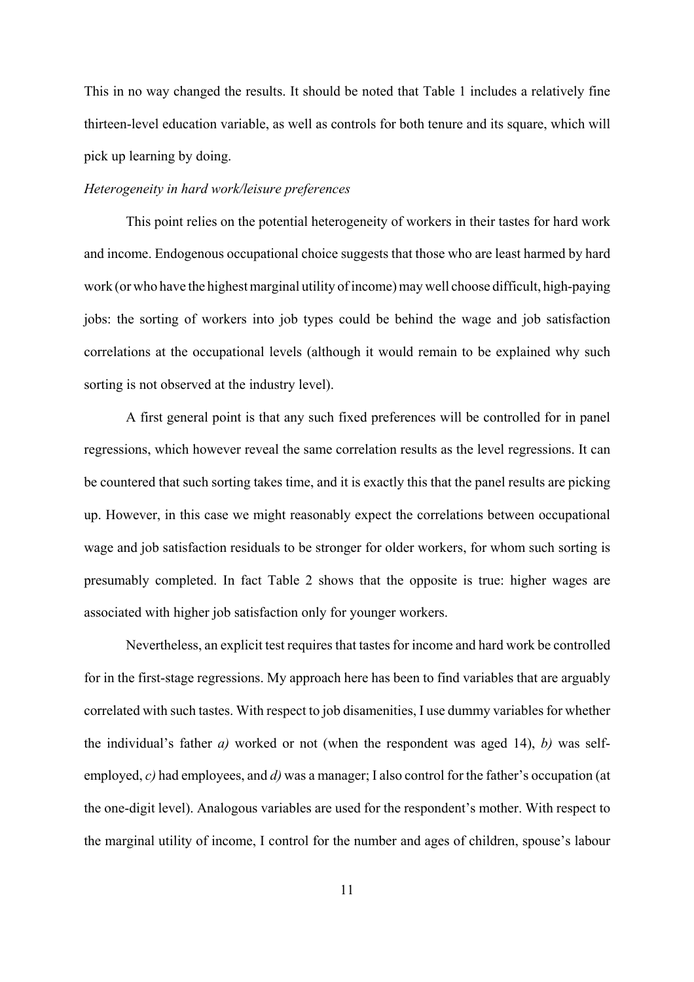This in no way changed the results. It should be noted that Table 1 includes a relatively fine thirteen-level education variable, as well as controls for both tenure and its square, which will pick up learning by doing.

#### *Heterogeneity in hard work/leisure preferences*

This point relies on the potential heterogeneity of workers in their tastes for hard work and income. Endogenous occupational choice suggests that those who are least harmed by hard work (or who have the highest marginal utility of income) may well choose difficult, high-paying jobs: the sorting of workers into job types could be behind the wage and job satisfaction correlations at the occupational levels (although it would remain to be explained why such sorting is not observed at the industry level).

A first general point is that any such fixed preferences will be controlled for in panel regressions, which however reveal the same correlation results as the level regressions. It can be countered that such sorting takes time, and it is exactly this that the panel results are picking up. However, in this case we might reasonably expect the correlations between occupational wage and job satisfaction residuals to be stronger for older workers, for whom such sorting is presumably completed. In fact Table 2 shows that the opposite is true: higher wages are associated with higher job satisfaction only for younger workers.

Nevertheless, an explicit test requires that tastes for income and hard work be controlled for in the first-stage regressions. My approach here has been to find variables that are arguably correlated with such tastes. With respect to job disamenities, I use dummy variables for whether the individual's father *a)* worked or not (when the respondent was aged 14), *b)* was selfemployed, *c)* had employees, and *d)* was a manager; I also control for the father's occupation (at the one-digit level). Analogous variables are used for the respondent's mother. With respect to the marginal utility of income, I control for the number and ages of children, spouse's labour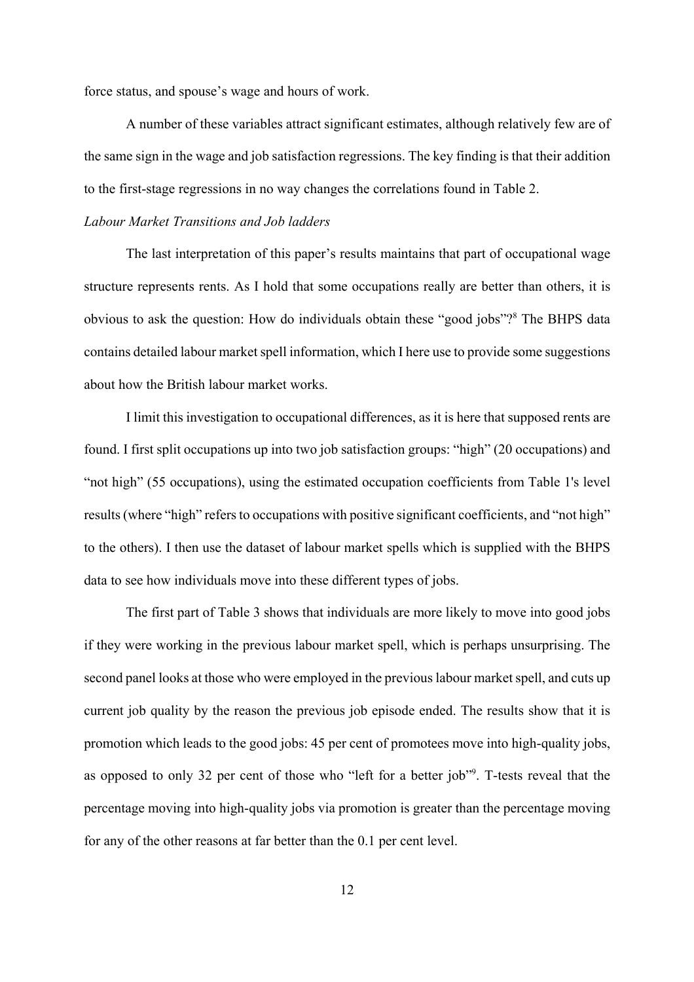force status, and spouse's wage and hours of work.

A number of these variables attract significant estimates, although relatively few are of the same sign in the wage and job satisfaction regressions. The key finding is that their addition to the first-stage regressions in no way changes the correlations found in Table 2.

#### *Labour Market Transitions and Job ladders*

The last interpretation of this paper's results maintains that part of occupational wage structure represents rents. As I hold that some occupations really are better than others, it is obvious to ask the question: How do individuals obtain these "good jobs"?<sup>8</sup> The BHPS data contains detailed labour market spell information, which I here use to provide some suggestions about how the British labour market works.

I limit this investigation to occupational differences, as it is here that supposed rents are found. I first split occupations up into two job satisfaction groups: "high" (20 occupations) and "not high" (55 occupations), using the estimated occupation coefficients from Table 1's level results (where "high" refers to occupations with positive significant coefficients, and "not high" to the others). I then use the dataset of labour market spells which is supplied with the BHPS data to see how individuals move into these different types of jobs.

The first part of Table 3 shows that individuals are more likely to move into good jobs if they were working in the previous labour market spell, which is perhaps unsurprising. The second panel looks at those who were employed in the previous labour market spell, and cuts up current job quality by the reason the previous job episode ended. The results show that it is promotion which leads to the good jobs: 45 per cent of promotees move into high-quality jobs, as opposed to only 32 per cent of those who "left for a better job"<sup>9</sup>. T-tests reveal that the percentage moving into high-quality jobs via promotion is greater than the percentage moving for any of the other reasons at far better than the 0.1 per cent level.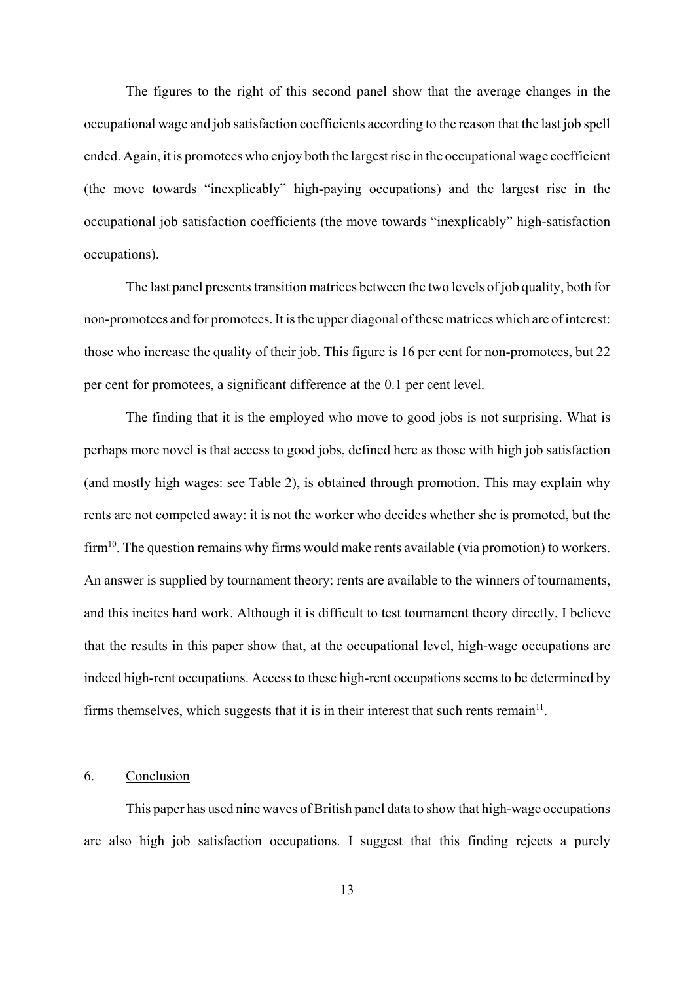The figures to the right of this second panel show that the average changes in the occupational wage and job satisfaction coefficients according to the reason that the last job spell ended. Again, it is promotees who enjoy both the largest rise in the occupational wage coefficient (the move towards "inexplicably" high-paying occupations) and the largest rise in the occupational job satisfaction coefficients (the move towards "inexplicably" high-satisfaction occupations).

The last panel presents transition matrices between the two levels of job quality, both for non-promotees and for promotees. It is the upper diagonal of these matrices which are of interest: those who increase the quality of their job. This figure is 16 per cent for non-promotees, but 22 per cent for promotees, a significant difference at the 0.1 per cent level.

The finding that it is the employed who move to good jobs is not surprising. What is perhaps more novel is that access to good jobs, defined here as those with high job satisfaction (and mostly high wages: see Table 2), is obtained through promotion. This may explain why rents are not competed away: it is not the worker who decides whether she is promoted, but the  $firm<sup>10</sup>$ . The question remains why firms would make rents available (via promotion) to workers. An answer is supplied by tournament theory: rents are available to the winners of tournaments, and this incites hard work. Although it is difficult to test tournament theory directly, I believe that the results in this paper show that, at the occupational level, high-wage occupations are indeed high-rent occupations. Access to these high-rent occupations seems to be determined by firms themselves, which suggests that it is in their interest that such rents remain $11$ .

#### 6. Conclusion

This paper has used nine waves of British panel data to show that high-wage occupations are also high job satisfaction occupations. I suggest that this finding rejects a purely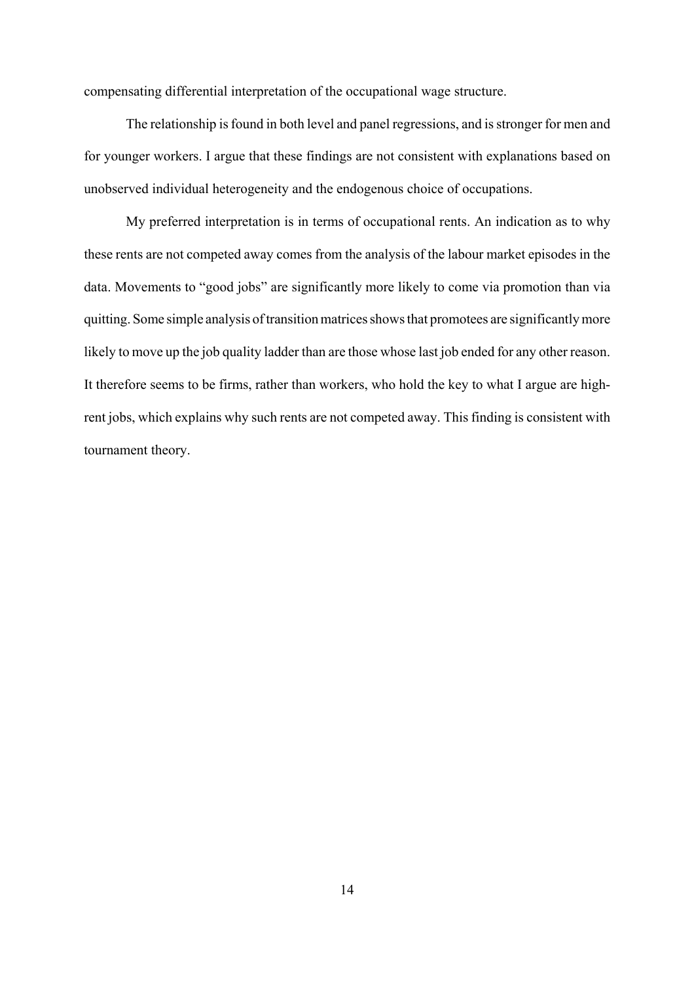compensating differential interpretation of the occupational wage structure.

The relationship is found in both level and panel regressions, and is stronger for men and for younger workers. I argue that these findings are not consistent with explanations based on unobserved individual heterogeneity and the endogenous choice of occupations.

My preferred interpretation is in terms of occupational rents. An indication as to why these rents are not competed away comes from the analysis of the labour market episodes in the data. Movements to "good jobs" are significantly more likely to come via promotion than via quitting. Some simple analysis of transition matrices shows that promotees are significantly more likely to move up the job quality ladder than are those whose last job ended for any other reason. It therefore seems to be firms, rather than workers, who hold the key to what I argue are highrent jobs, which explains why such rents are not competed away. This finding is consistent with tournament theory.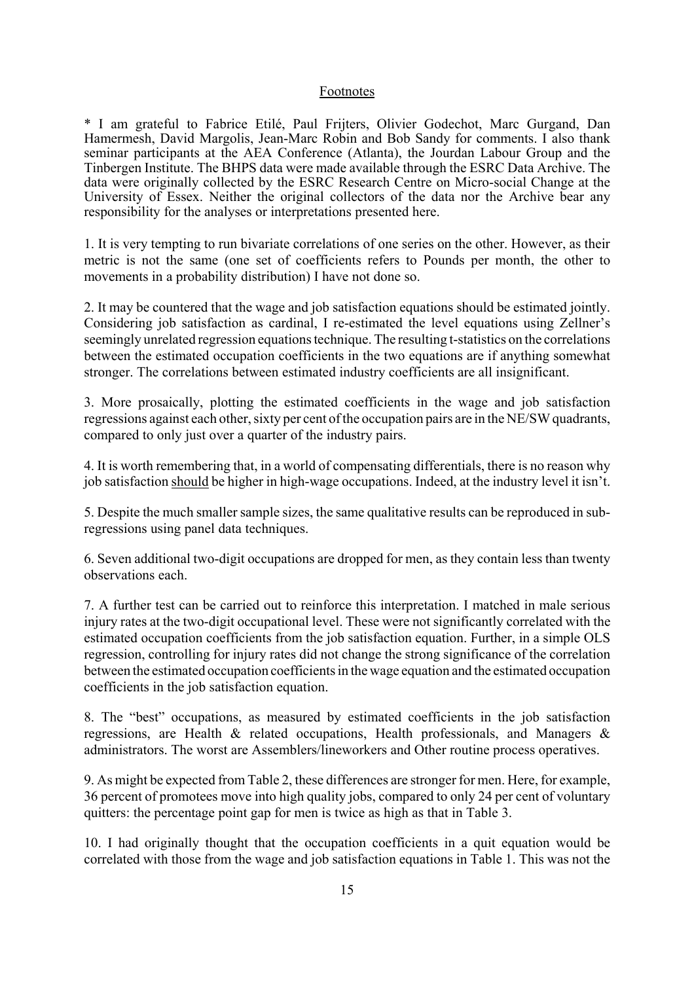#### Footnotes

\* I am grateful to Fabrice Etilé, Paul Frijters, Olivier Godechot, Marc Gurgand, Dan Hamermesh, David Margolis, Jean-Marc Robin and Bob Sandy for comments. I also thank seminar participants at the AEA Conference (Atlanta), the Jourdan Labour Group and the Tinbergen Institute. The BHPS data were made available through the ESRC Data Archive. The data were originally collected by the ESRC Research Centre on Micro-social Change at the University of Essex. Neither the original collectors of the data nor the Archive bear any responsibility for the analyses or interpretations presented here.

1. It is very tempting to run bivariate correlations of one series on the other. However, as their metric is not the same (one set of coefficients refers to Pounds per month, the other to movements in a probability distribution) I have not done so.

2. It may be countered that the wage and job satisfaction equations should be estimated jointly. Considering job satisfaction as cardinal, I re-estimated the level equations using Zellner's seemingly unrelated regression equations technique. The resulting t-statistics on the correlations between the estimated occupation coefficients in the two equations are if anything somewhat stronger. The correlations between estimated industry coefficients are all insignificant.

3. More prosaically, plotting the estimated coefficients in the wage and job satisfaction regressions against each other, sixty per cent of the occupation pairs are in the NE/SW quadrants, compared to only just over a quarter of the industry pairs.

4. It is worth remembering that, in a world of compensating differentials, there is no reason why job satisfaction should be higher in high-wage occupations. Indeed, at the industry level it isn't.

5. Despite the much smaller sample sizes, the same qualitative results can be reproduced in subregressions using panel data techniques.

6. Seven additional two-digit occupations are dropped for men, as they contain less than twenty observations each.

7. A further test can be carried out to reinforce this interpretation. I matched in male serious injury rates at the two-digit occupational level. These were not significantly correlated with the estimated occupation coefficients from the job satisfaction equation. Further, in a simple OLS regression, controlling for injury rates did not change the strong significance of the correlation between the estimated occupation coefficients in the wage equation and the estimated occupation coefficients in the job satisfaction equation.

8. The "best" occupations, as measured by estimated coefficients in the job satisfaction regressions, are Health & related occupations, Health professionals, and Managers & administrators. The worst are Assemblers/lineworkers and Other routine process operatives.

9. As might be expected from Table 2, these differences are stronger for men. Here, for example, 36 percent of promotees move into high quality jobs, compared to only 24 per cent of voluntary quitters: the percentage point gap for men is twice as high as that in Table 3.

10. I had originally thought that the occupation coefficients in a quit equation would be correlated with those from the wage and job satisfaction equations in Table 1. This was not the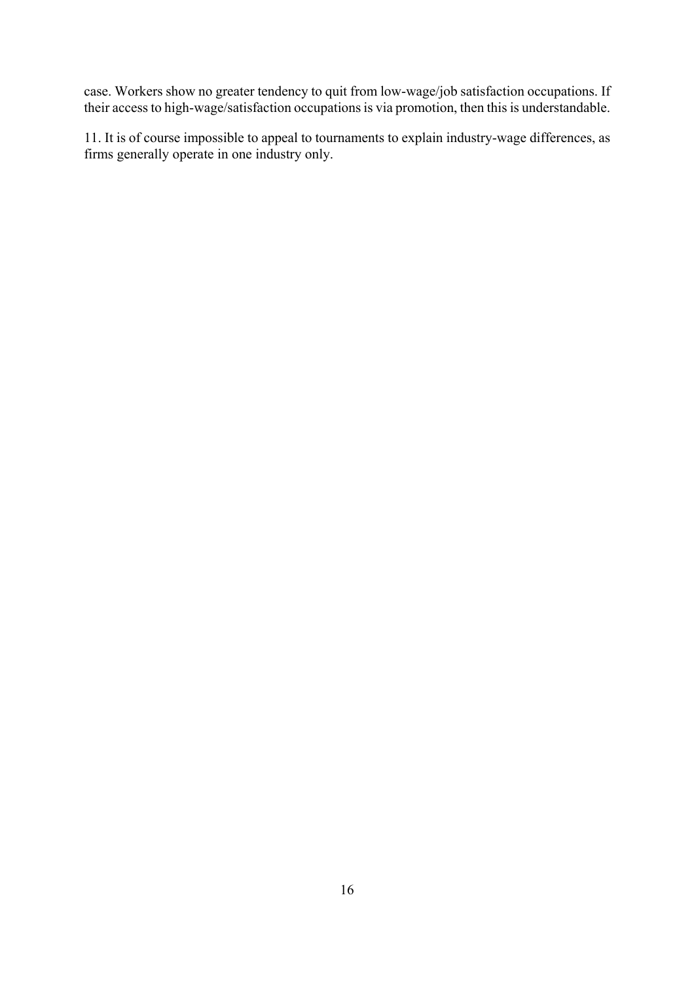case. Workers show no greater tendency to quit from low-wage/job satisfaction occupations. If their access to high-wage/satisfaction occupations is via promotion, then this is understandable.

11. It is of course impossible to appeal to tournaments to explain industry-wage differences, as firms generally operate in one industry only.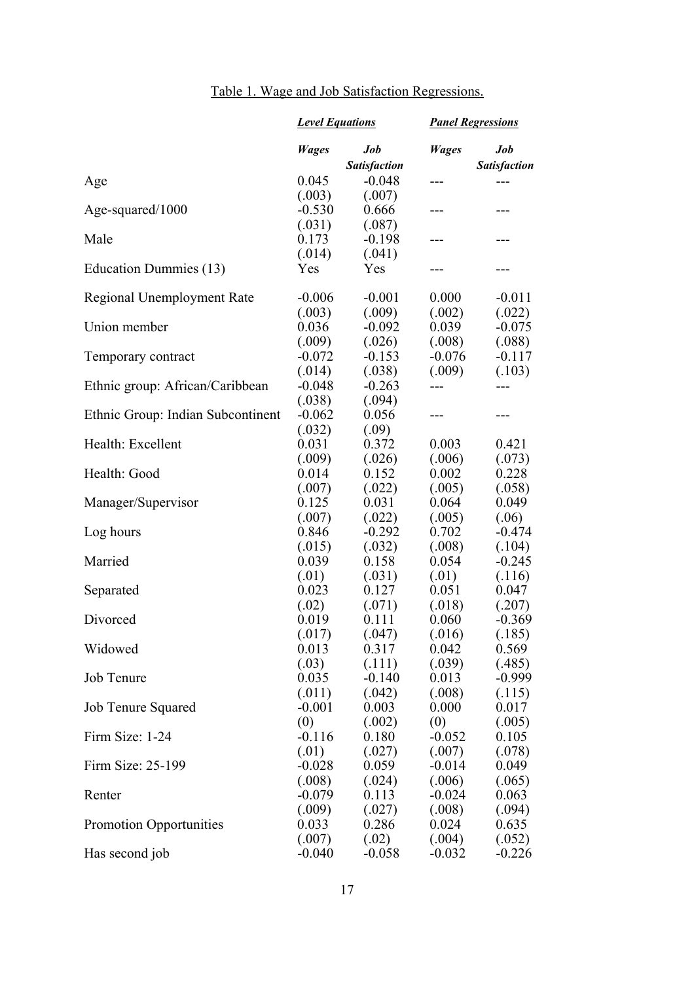|  |  | Table 1. Wage and Job Satisfaction Regressions. |  |
|--|--|-------------------------------------------------|--|
|  |  |                                                 |  |

|                                   | <b>Level Equations</b> |                     | <b>Panel Regressions</b> |                     |
|-----------------------------------|------------------------|---------------------|--------------------------|---------------------|
|                                   | <b>Wages</b>           | Job                 | <b>Wages</b>             | Job                 |
|                                   |                        | <b>Satisfaction</b> |                          | <b>Satisfaction</b> |
| Age                               | 0.045                  | $-0.048$            | ---                      | $---$               |
|                                   | (.003)<br>$-0.530$     | (.007)<br>0.666     |                          | ---                 |
| Age-squared/1000                  | (.031)                 | (.087)              | ---                      |                     |
| Male                              | 0.173                  | $-0.198$            | ---                      | ---                 |
|                                   | (.014)                 | (.041)              |                          |                     |
| Education Dummies (13)            | Yes                    | Yes                 | ---                      | ---                 |
| Regional Unemployment Rate        | $-0.006$               | $-0.001$            | 0.000                    | $-0.011$            |
|                                   | (.003)                 | (.009)              | (.002)                   | (.022)              |
| Union member                      | 0.036                  | $-0.092$            | 0.039                    | $-0.075$            |
|                                   | (.009)                 | (.026)              | (.008)                   | (.088)              |
| Temporary contract                | $-0.072$               | $-0.153$            | $-0.076$                 | $-0.117$            |
|                                   | (.014)                 | (.038)              | (.009)                   | (.103)              |
| Ethnic group: African/Caribbean   | $-0.048$               | $-0.263$            | ---                      | ---                 |
|                                   | (.038)                 | (.094)              |                          |                     |
| Ethnic Group: Indian Subcontinent | $-0.062$               | 0.056               | ---                      | ---                 |
|                                   | (.032)                 | (.09)               |                          |                     |
| Health: Excellent                 | 0.031                  | 0.372               | 0.003                    | 0.421               |
| Health: Good                      | (.009)<br>0.014        | (.026)<br>0.152     | (.006)<br>0.002          | (.073)<br>0.228     |
|                                   | (.007)                 | (.022)              | (.005)                   | (.058)              |
| Manager/Supervisor                | 0.125                  | 0.031               | 0.064                    | 0.049               |
|                                   | (.007)                 | (.022)              | (.005)                   | (.06)               |
| Log hours                         | 0.846                  | $-0.292$            | 0.702                    | $-0.474$            |
|                                   | (.015)                 | (.032)              | (.008)                   | (.104)              |
| Married                           | 0.039                  | 0.158               | 0.054                    | $-0.245$            |
|                                   | (.01)                  | (.031)              | (.01)                    | (.116)              |
| Separated                         | 0.023                  | 0.127               | 0.051                    | 0.047               |
|                                   | (.02)                  | (.071)              | (.018)                   | (.207)              |
| Divorced                          | 0.019                  | 0.111               | 0.060                    | $-0.369$            |
|                                   | (.017)                 | (.047)              | (.016)                   | (.185)              |
| Widowed                           | 0.013                  | 0.317               | 0.042                    | 0.569               |
|                                   | (.03)                  | (.111)              | (.039)                   | (.485)              |
| Job Tenure                        | 0.035                  | $-0.140$            | 0.013                    | $-0.999$            |
|                                   | (.011)                 | (.042)              | (.008)                   | (.115)              |
| <b>Job Tenure Squared</b>         | $-0.001$               | 0.003               | 0.000                    | 0.017               |
|                                   | (0)                    | (.002)              | (0)                      | (.005)              |
| Firm Size: 1-24                   | $-0.116$               | 0.180               | $-0.052$                 | 0.105               |
|                                   | (.01)                  | (.027)              | (.007)                   | (.078)              |
| Firm Size: 25-199                 | $-0.028$               | 0.059               | $-0.014$                 | 0.049               |
|                                   | (.008)                 | (.024)              | (.006)                   | (.065)              |
| Renter                            | $-0.079$               | 0.113               | $-0.024$                 | 0.063               |
| <b>Promotion Opportunities</b>    | (.009)<br>0.033        | (.027)<br>0.286     | (.008)<br>0.024          | (.094)<br>0.635     |
|                                   | (.007)                 | (.02)               | (.004)                   | (.052)              |
| Has second job                    | $-0.040$               | $-0.058$            | $-0.032$                 | $-0.226$            |
|                                   |                        |                     |                          |                     |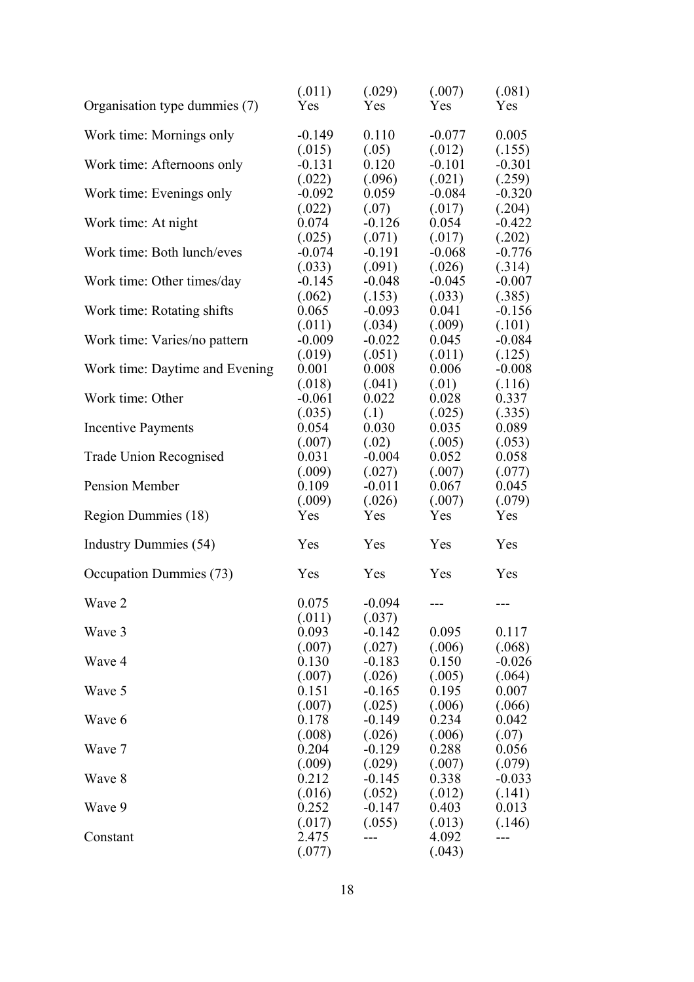| Organisation type dummies (7)  | (.011)<br>Yes      | (.029)<br>Yes      | (.007)<br>Yes      | (.081)<br><b>Yes</b> |
|--------------------------------|--------------------|--------------------|--------------------|----------------------|
| Work time: Mornings only       | $-0.149$           | 0.110              | $-0.077$           | 0.005                |
|                                | (.015)             | (.05)              | (.012)             | (.155)               |
| Work time: Afternoons only     | $-0.131$           | 0.120              | $-0.101$           | $-0.301$             |
|                                | (.022)             | (.096)             | (.021)             | (.259)               |
| Work time: Evenings only       | $-0.092$           | 0.059              | $-0.084$           | $-0.320$             |
|                                | (.022)             | (.07)              | (.017)             | (.204)               |
| Work time: At night            | 0.074              | $-0.126$           | 0.054              | $-0.422$<br>(.202)   |
| Work time: Both lunch/eves     | (.025)<br>$-0.074$ | (.071)<br>$-0.191$ | (.017)<br>$-0.068$ | $-0.776$             |
|                                | (.033)             | (.091)             | (.026)             | (.314)               |
| Work time: Other times/day     | $-0.145$           | $-0.048$           | $-0.045$           | $-0.007$             |
|                                | (.062)             | (.153)             | (.033)             | (.385)               |
| Work time: Rotating shifts     | 0.065              | $-0.093$           | 0.041              | $-0.156$             |
|                                | (.011)             | (.034)             | (.009)             | (.101)               |
| Work time: Varies/no pattern   | $-0.009$           | $-0.022$           | 0.045              | $-0.084$             |
|                                | (.019)             | (.051)             | (.011)             | (.125)               |
| Work time: Daytime and Evening | 0.001              | 0.008              | 0.006              | $-0.008$             |
|                                | (.018)             | (.041)             | (.01)              | (.116)               |
| Work time: Other               | $-0.061$           | 0.022              | 0.028              | 0.337                |
|                                | (.035)             | (.1)               | (.025)             | (.335)               |
| <b>Incentive Payments</b>      | 0.054              | 0.030              | 0.035              | 0.089                |
|                                | (.007)             | (.02)              | (.005)             | (.053)               |
| Trade Union Recognised         | 0.031              | $-0.004$           | 0.052              | 0.058                |
|                                | (.009)             | (.027)             | (.007)             | (.077)               |
| Pension Member                 | 0.109              | $-0.011$           | 0.067              | 0.045                |
|                                | (.009)             | (.026)             | (.007)             | (.079)               |
| Region Dummies (18)            | Yes                | Yes                | Yes                | Yes                  |
| Industry Dummies (54)          | Yes                | Yes                | Yes                | Yes                  |
| Occupation Dummies (73)        | Yes                | Yes                | Yes                | Yes                  |
| Wave 2                         | 0.075              | $-0.094$           | $---$              | ---                  |
|                                | (.011)             | (.037)             |                    |                      |
| Wave 3                         | 0.093              | $-0.142$           | 0.095              | 0.117                |
|                                | (.007)             | (.027)             | (.006)             | (.068)               |
| Wave 4                         | 0.130              | $-0.183$           | 0.150              | $-0.026$             |
|                                | (.007)             | (.026)             | (.005)             | (.064)               |
| Wave 5                         | 0.151              | $-0.165$           | 0.195              | 0.007                |
| Wave 6                         | (.007)<br>0.178    | (.025)             | (.006)<br>0.234    | (.066)               |
|                                | (.008)             | $-0.149$           |                    | 0.042                |
| Wave 7                         | 0.204              | (.026)<br>$-0.129$ | (.006)<br>0.288    | (.07)<br>0.056       |
|                                | (.009)             | (.029)             | (.007)             | (.079)               |
| Wave 8                         | 0.212              | $-0.145$           | 0.338              | $-0.033$             |
|                                | (.016)             | (.052)             | (.012)             | (.141)               |
| Wave 9                         | 0.252              | $-0.147$           | 0.403              | 0.013                |
|                                | (.017)             | (.055)             | (.013)             | (.146)               |
| Constant                       | 2.475              |                    | 4.092              | ---                  |
|                                | (.077)             |                    | (.043)             |                      |
|                                |                    |                    |                    |                      |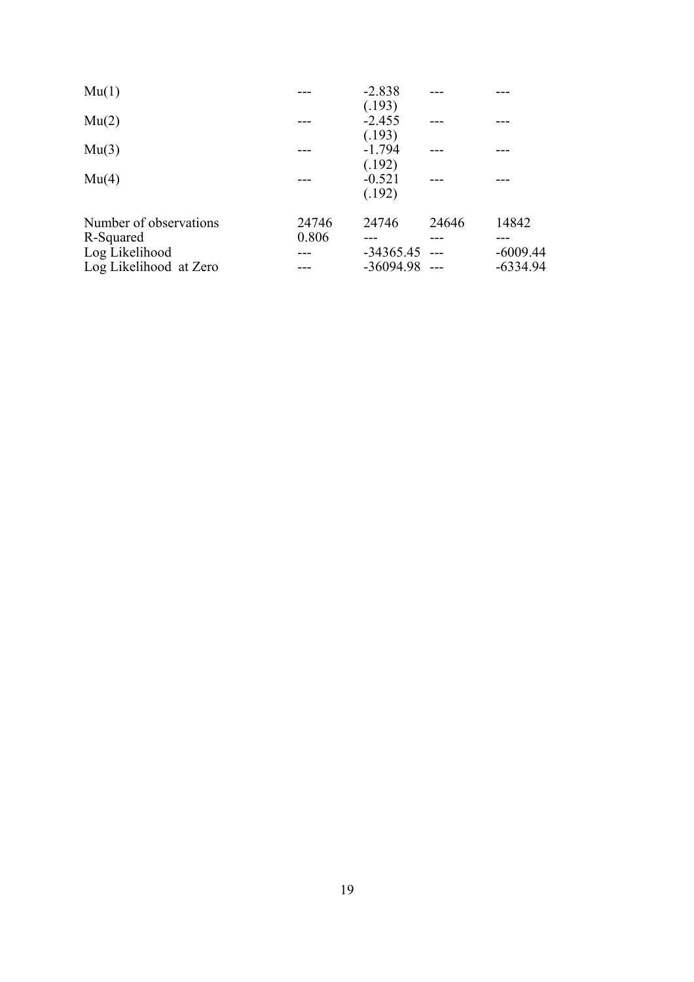| Mu(1)                  |       | $-2.838$        |       |            |
|------------------------|-------|-----------------|-------|------------|
|                        |       | (.193)          |       |            |
| Mu(2)                  |       | $-2.455$        |       |            |
|                        |       | (.193)          |       |            |
| Mu(3)                  |       | $-1.794$        |       |            |
|                        |       | (.192)          |       |            |
| Mu(4)                  |       | $-0.521$        |       |            |
|                        |       | (.192)          |       |            |
| Number of observations | 24746 | 24746           | 24646 | 14842      |
| R-Squared              | 0.806 |                 |       |            |
| Log Likelihood         |       | $-34365.45$ --- |       | $-6009.44$ |
| Log Likelihood at Zero |       | $-36094.98$ --- |       | $-6334.94$ |
|                        |       |                 |       |            |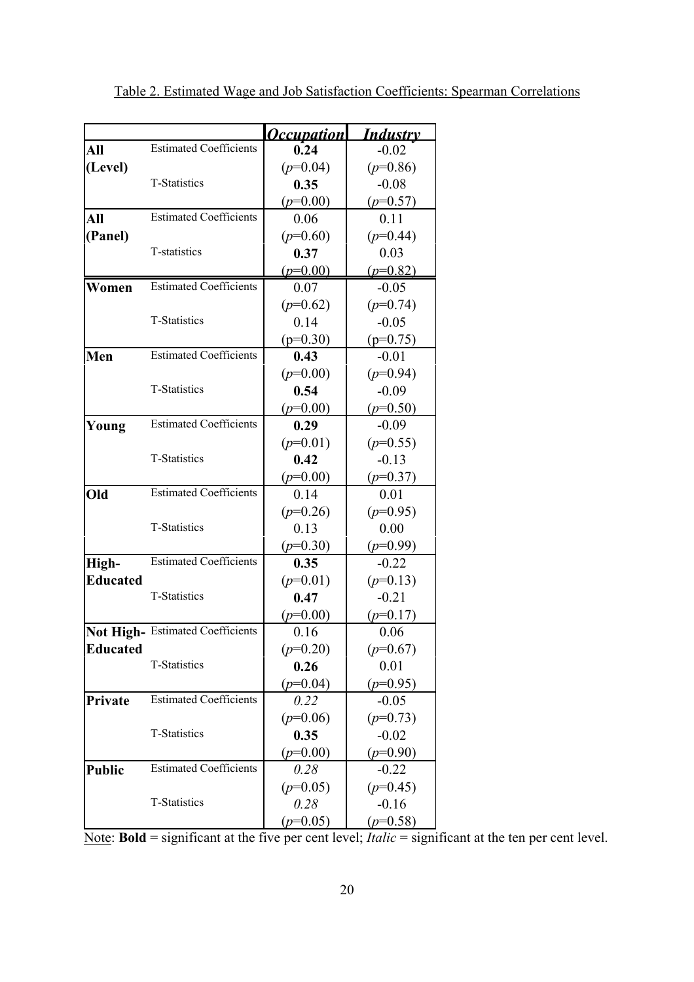|                 |                                  | <b>Occupation</b> | <b>Industry</b> |
|-----------------|----------------------------------|-------------------|-----------------|
| All             | <b>Estimated Coefficients</b>    | 0.24              | $-0.02$         |
| (Level)         |                                  | $(p=0.04)$        | $(p=0.86)$      |
|                 | <b>T-Statistics</b>              | 0.35              | $-0.08$         |
|                 |                                  | $(p=0.00)$        | $(p=0.57)$      |
| All             | <b>Estimated Coefficients</b>    | 0.06              | 0.11            |
| (Panel)         |                                  | $(p=0.60)$        | $(p=0.44)$      |
|                 | T-statistics                     | 0.37              | 0.03            |
|                 |                                  | $(p=0.00)$        | $(p=0.82)$      |
| Women           | <b>Estimated Coefficients</b>    | 0.07              | $-0.05$         |
|                 |                                  | $(p=0.62)$        | $(p=0.74)$      |
|                 | <b>T-Statistics</b>              | 0.14              | $-0.05$         |
|                 |                                  | $(p=0.30)$        | $(p=0.75)$      |
| Men             | <b>Estimated Coefficients</b>    | 0.43              | $-0.01$         |
|                 |                                  | $(p=0.00)$        | $(p=0.94)$      |
|                 | <b>T-Statistics</b>              | 0.54              | $-0.09$         |
|                 |                                  | $(p=0.00)$        | $(p=0.50)$      |
| Young           | <b>Estimated Coefficients</b>    | 0.29              | $-0.09$         |
|                 |                                  | $(p=0.01)$        | $(p=0.55)$      |
|                 | <b>T-Statistics</b>              | 0.42              | $-0.13$         |
|                 |                                  | $(p=0.00)$        | $(p=0.37)$      |
| Old             | <b>Estimated Coefficients</b>    | 0.14              | 0.01            |
|                 |                                  | $(p=0.26)$        | $(p=0.95)$      |
|                 | <b>T-Statistics</b>              | 0.13              | 0.00            |
|                 |                                  | $(p=0.30)$        | $(p=0.99)$      |
| High-           | <b>Estimated Coefficients</b>    | 0.35              | $-0.22$         |
| <b>Educated</b> |                                  | $(p=0.01)$        | $(p=0.13)$      |
|                 | <b>T-Statistics</b>              | 0.47              | $-0.21$         |
|                 |                                  | $(p=0.00)$        | $(p=0.17)$      |
|                 | Not High- Estimated Coefficients | 0.16              | 0.06            |
| Educated        |                                  | $(p=0.20)$        | $(p=0.67)$      |
|                 | T-Statistics                     | 0.26              | 0.01            |
|                 |                                  | $(p=0.04)$        | $(p=0.95)$      |
| Private         | <b>Estimated Coefficients</b>    | 0.22              | $-0.05$         |
|                 |                                  | $(p=0.06)$        | $(p=0.73)$      |
|                 | T-Statistics                     | 0.35              | $-0.02$         |
|                 |                                  | $(p=0.00)$        | $(p=0.90)$      |
| <b>Public</b>   | <b>Estimated Coefficients</b>    | 0.28              | $-0.22$         |
|                 |                                  | $(p=0.05)$        | $(p=0.45)$      |
|                 | T-Statistics                     | 0.28              | $-0.16$         |
|                 |                                  | $(p=0.05)$        | $(p=0.58)$      |

Note: **Bold** = significant at the five per cent level; *Italic* = significant at the ten per cent level.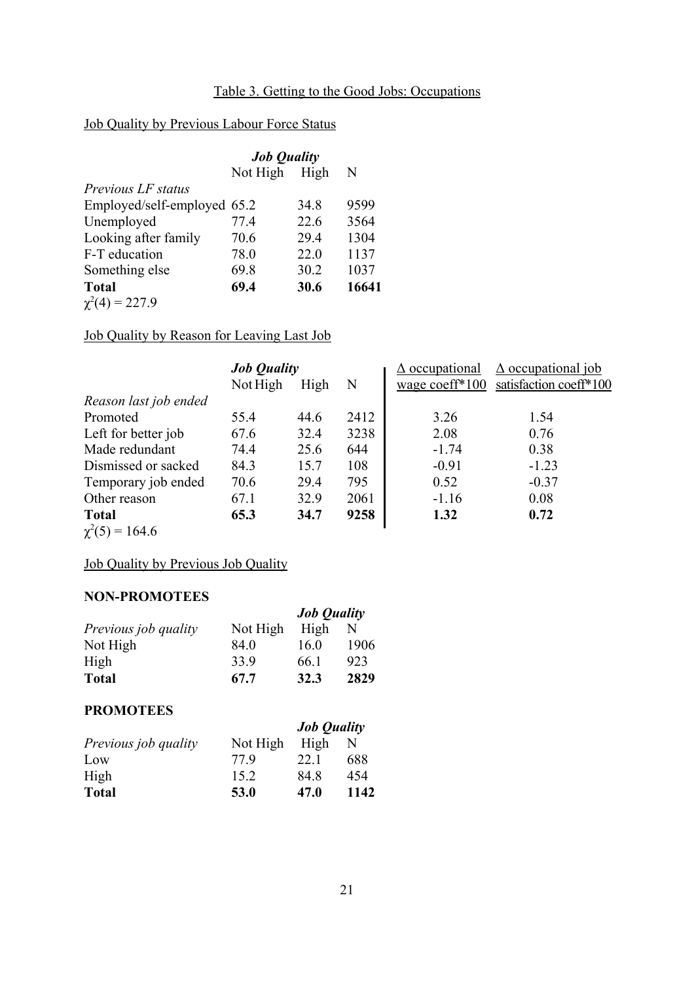# Table 3. Getting to the Good Jobs: Occupations

# Job Quality by Previous Labour Force Status

|                             | <b>Job Quality</b> |      |       |
|-----------------------------|--------------------|------|-------|
|                             | Not High           | High | N     |
| Previous LF status          |                    |      |       |
| Employed/self-employed 65.2 |                    | 34.8 | 9599  |
| Unemployed                  | 77.4               | 22.6 | 3564  |
| Looking after family        | 70.6               | 29.4 | 1304  |
| F-T education               | 78.0               | 22.0 | 1137  |
| Something else              | 69.8               | 30.2 | 1037  |
| <b>Total</b>                | 69.4               | 30.6 | 16641 |
| $\chi^2(4) = 227.9$         |                    |      |       |

Job Quality by Reason for Leaving Last Job

|                       | <b>Job Quality</b> |      |      | $\Delta$ occupational | $\Delta$ occupational job |  |
|-----------------------|--------------------|------|------|-----------------------|---------------------------|--|
|                       | Not High           | High | N    | wage coeff $*100$     | satisfaction coeff*100    |  |
| Reason last job ended |                    |      |      |                       |                           |  |
| Promoted              | 55.4               | 44.6 | 2412 | 3.26                  | 1.54                      |  |
| Left for better job   | 67.6               | 32.4 | 3238 | 2.08                  | 0.76                      |  |
| Made redundant        | 74.4               | 25.6 | 644  | $-1.74$               | 0.38                      |  |
| Dismissed or sacked   | 84.3               | 15.7 | 108  | $-0.91$               | $-1.23$                   |  |
| Temporary job ended   | 70.6               | 29.4 | 795  | 0.52                  | $-0.37$                   |  |
| Other reason          | 67.1               | 32.9 | 2061 | $-1.16$               | 0.08                      |  |
| <b>Total</b>          | 65.3               | 34.7 | 9258 | 1.32                  | 0.72                      |  |
| $\chi^2(5) = 164.6$   |                    |      |      |                       |                           |  |

# Job Quality by Previous Job Quality

#### **NON-PROMOTEES**

| ******************   |          |                    |      |  |
|----------------------|----------|--------------------|------|--|
|                      |          | <b>Job Quality</b> |      |  |
| Previous job quality | Not High | High               | N    |  |
| Not High             | 84.0     | 16.0               | 1906 |  |
| High                 | 33.9     | 66.1               | 923  |  |
| <b>Total</b>         | 67.7     | 32.3               | 2829 |  |

## **PROMOTEES**

| 11101101100          |          |                    |      |  |
|----------------------|----------|--------------------|------|--|
|                      |          | <b>Job Quality</b> |      |  |
| Previous job quality | Not High | High               | N    |  |
| Low                  | 779      | 22.1               | 688  |  |
| High                 | 15.2     | 84 8               | 454  |  |
| <b>Total</b>         | 53.0     | 47.0               | 1142 |  |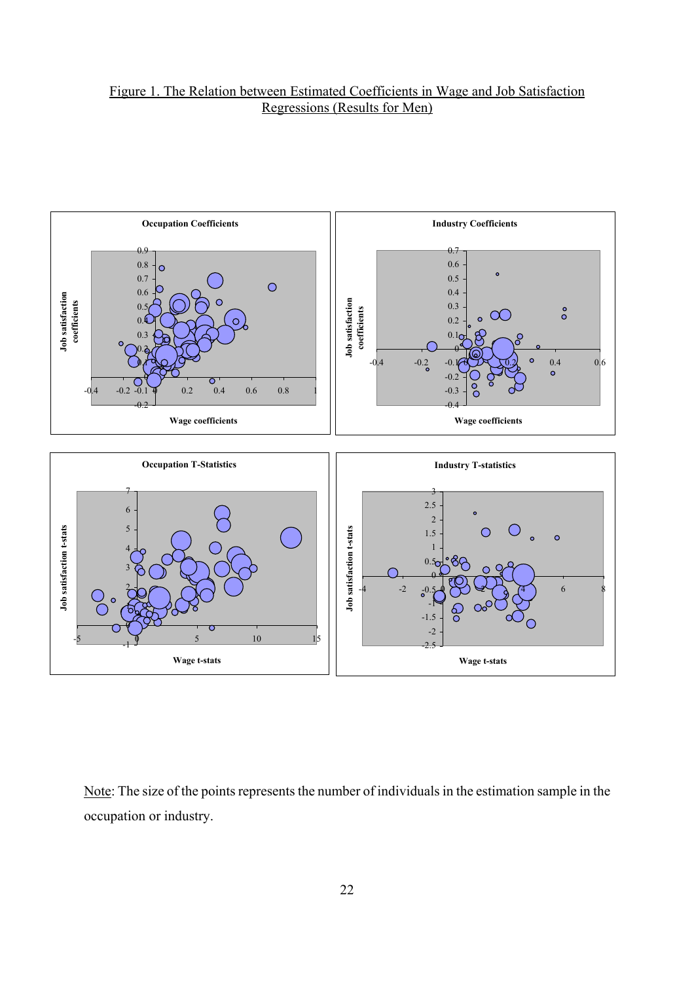# Figure 1. The Relation between Estimated Coefficients in Wage and Job Satisfaction Regressions (Results for Men)



Note: The size of the points represents the number of individuals in the estimation sample in the occupation or industry.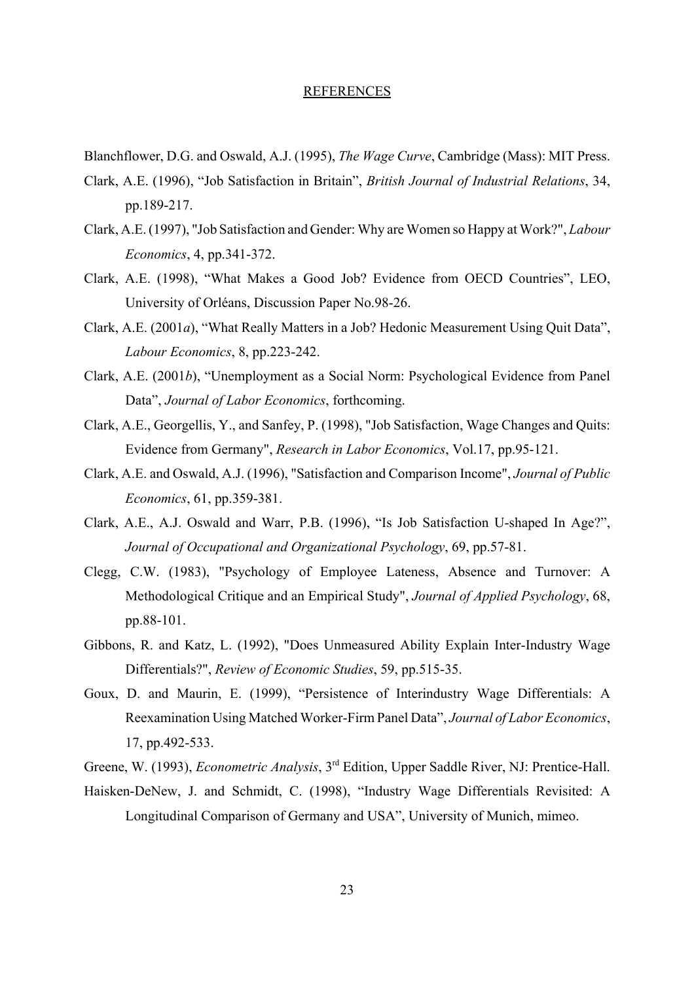#### REFERENCES

Blanchflower, D.G. and Oswald, A.J. (1995), *The Wage Curve*, Cambridge (Mass): MIT Press.

- Clark, A.E. (1996), "Job Satisfaction in Britain", *British Journal of Industrial Relations*, 34, pp.189-217.
- Clark, A.E. (1997), "Job Satisfaction and Gender: Why are Women so Happy at Work?", *Labour Economics*, 4, pp.341-372.
- Clark, A.E. (1998), "What Makes a Good Job? Evidence from OECD Countries", LEO, University of Orléans, Discussion Paper No.98-26.
- Clark, A.E. (2001*a*), "What Really Matters in a Job? Hedonic Measurement Using Quit Data", *Labour Economics*, 8, pp.223-242.
- Clark, A.E. (2001*b*), "Unemployment as a Social Norm: Psychological Evidence from Panel Data", *Journal of Labor Economics*, forthcoming.
- Clark, A.E., Georgellis, Y., and Sanfey, P. (1998), "Job Satisfaction, Wage Changes and Quits: Evidence from Germany", *Research in Labor Economics*, Vol.17, pp.95-121.
- Clark, A.E. and Oswald, A.J. (1996), "Satisfaction and Comparison Income", *Journal of Public Economics*, 61, pp.359-381.
- Clark, A.E., A.J. Oswald and Warr, P.B. (1996), "Is Job Satisfaction U-shaped In Age?", *Journal of Occupational and Organizational Psychology*, 69, pp.57-81.
- Clegg, C.W. (1983), "Psychology of Employee Lateness, Absence and Turnover: A Methodological Critique and an Empirical Study", *Journal of Applied Psychology*, 68, pp.88-101.
- Gibbons, R. and Katz, L. (1992), "Does Unmeasured Ability Explain Inter-Industry Wage Differentials?", *Review of Economic Studies*, 59, pp.515-35.
- Goux, D. and Maurin, E. (1999), "Persistence of Interindustry Wage Differentials: A Reexamination Using Matched Worker-Firm Panel Data", *Journal of Labor Economics*, 17, pp.492-533.
- Greene, W. (1993), *Econometric Analysis*, 3rd Edition, Upper Saddle River, NJ: Prentice-Hall.
- Haisken-DeNew, J. and Schmidt, C. (1998), "Industry Wage Differentials Revisited: A Longitudinal Comparison of Germany and USA", University of Munich, mimeo.